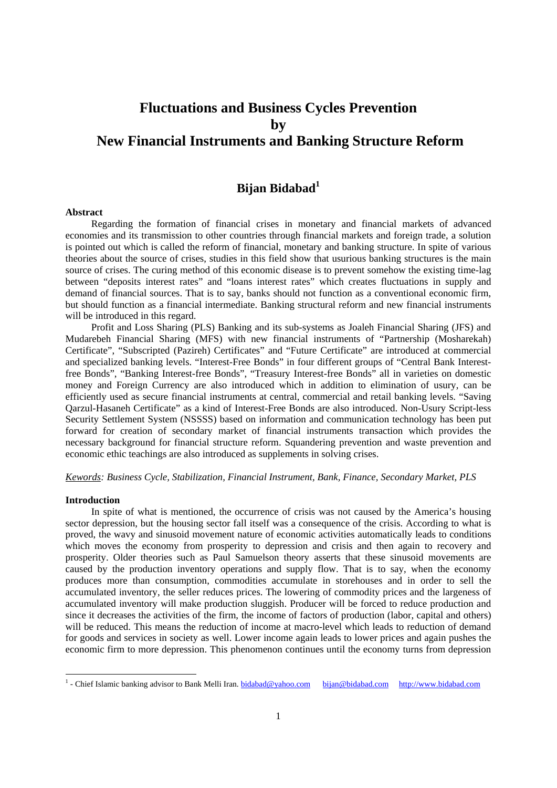# **Fluctuations and Business Cycles Prevention by New Financial Instruments and Banking Structure Reform**

## **Bijan Bidabad1**

#### **Abstract**

Regarding the formation of financial crises in monetary and financial markets of advanced economies and its transmission to other countries through financial markets and foreign trade, a solution is pointed out which is called the reform of financial, monetary and banking structure. In spite of various theories about the source of crises, studies in this field show that usurious banking structures is the main source of crises. The curing method of this economic disease is to prevent somehow the existing time-lag between "deposits interest rates" and "loans interest rates" which creates fluctuations in supply and demand of financial sources. That is to say, banks should not function as a conventional economic firm, but should function as a financial intermediate. Banking structural reform and new financial instruments will be introduced in this regard.

Profit and Loss Sharing (PLS) Banking and its sub-systems as Joaleh Financial Sharing (JFS) and Mudarebeh Financial Sharing (MFS) with new financial instruments of "Partnership (Mosharekah) Certificate", "Subscripted (Pazireh) Certificates" and "Future Certificate" are introduced at commercial and specialized banking levels. "Interest-Free Bonds" in four different groups of "Central Bank Interestfree Bonds", "Banking Interest-free Bonds", "Treasury Interest-free Bonds" all in varieties on domestic money and Foreign Currency are also introduced which in addition to elimination of usury, can be efficiently used as secure financial instruments at central, commercial and retail banking levels. "Saving Qarzul-Hasaneh Certificate" as a kind of Interest-Free Bonds are also introduced. Non-Usury Script-less Security Settlement System (NSSSS) based on information and communication technology has been put forward for creation of secondary market of financial instruments transaction which provides the necessary background for financial structure reform. Squandering prevention and waste prevention and economic ethic teachings are also introduced as supplements in solving crises.

*Kewords: Business Cycle, Stabilization, Financial Instrument, Bank, Finance, Secondary Market, PLS* 

#### **Introduction**

In spite of what is mentioned, the occurrence of crisis was not caused by the America's housing sector depression, but the housing sector fall itself was a consequence of the crisis. According to what is proved, the wavy and sinusoid movement nature of economic activities automatically leads to conditions which moves the economy from prosperity to depression and crisis and then again to recovery and prosperity. Older theories such as Paul Samuelson theory asserts that these sinusoid movements are caused by the production inventory operations and supply flow. That is to say, when the economy produces more than consumption, commodities accumulate in storehouses and in order to sell the accumulated inventory, the seller reduces prices. The lowering of commodity prices and the largeness of accumulated inventory will make production sluggish. Producer will be forced to reduce production and since it decreases the activities of the firm, the income of factors of production (labor, capital and others) will be reduced. This means the reduction of income at macro-level which leads to reduction of demand for goods and services in society as well. Lower income again leads to lower prices and again pushes the economic firm to more depression. This phenomenon continues until the economy turns from depression

<sup>&</sup>lt;u>1</u><br><sup>1</sup> - Chief Islamic banking advisor to Bank Melli Iran. <u>bidabad@yahoo.com bijan@bidabad.com</u> http://www.bidabad.com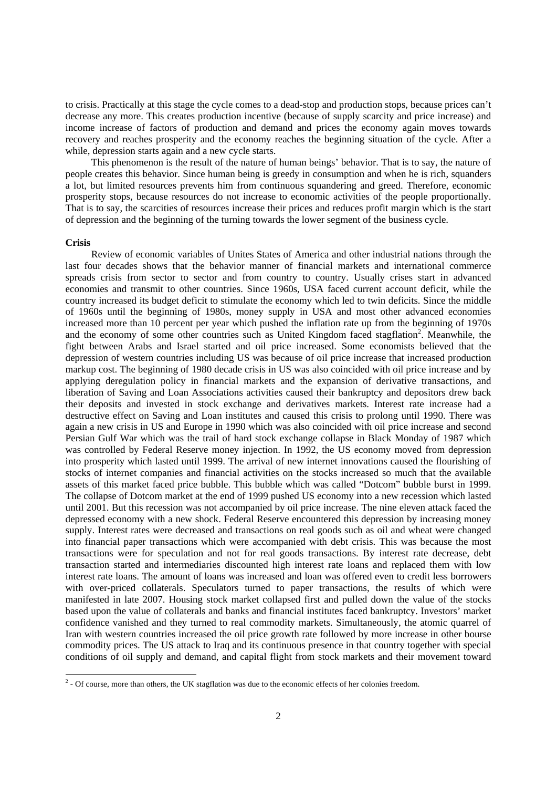to crisis. Practically at this stage the cycle comes to a dead-stop and production stops, because prices can't decrease any more. This creates production incentive (because of supply scarcity and price increase) and income increase of factors of production and demand and prices the economy again moves towards recovery and reaches prosperity and the economy reaches the beginning situation of the cycle. After a while, depression starts again and a new cycle starts.

This phenomenon is the result of the nature of human beings' behavior. That is to say, the nature of people creates this behavior. Since human being is greedy in consumption and when he is rich, squanders a lot, but limited resources prevents him from continuous squandering and greed. Therefore, economic prosperity stops, because resources do not increase to economic activities of the people proportionally. That is to say, the scarcities of resources increase their prices and reduces profit margin which is the start of depression and the beginning of the turning towards the lower segment of the business cycle.

#### **Crisis**

Review of economic variables of Unites States of America and other industrial nations through the last four decades shows that the behavior manner of financial markets and international commerce spreads crisis from sector to sector and from country to country. Usually crises start in advanced economies and transmit to other countries. Since 1960s, USA faced current account deficit, while the country increased its budget deficit to stimulate the economy which led to twin deficits. Since the middle of 1960s until the beginning of 1980s, money supply in USA and most other advanced economies increased more than 10 percent per year which pushed the inflation rate up from the beginning of 1970s and the economy of some other countries such as United Kingdom faced stagflation<sup>2</sup>. Meanwhile, the fight between Arabs and Israel started and oil price increased. Some economists believed that the depression of western countries including US was because of oil price increase that increased production markup cost. The beginning of 1980 decade crisis in US was also coincided with oil price increase and by applying deregulation policy in financial markets and the expansion of derivative transactions, and liberation of Saving and Loan Associations activities caused their bankruptcy and depositors drew back their deposits and invested in stock exchange and derivatives markets. Interest rate increase had a destructive effect on Saving and Loan institutes and caused this crisis to prolong until 1990. There was again a new crisis in US and Europe in 1990 which was also coincided with oil price increase and second Persian Gulf War which was the trail of hard stock exchange collapse in Black Monday of 1987 which was controlled by Federal Reserve money injection. In 1992, the US economy moved from depression into prosperity which lasted until 1999. The arrival of new internet innovations caused the flourishing of stocks of internet companies and financial activities on the stocks increased so much that the available assets of this market faced price bubble. This bubble which was called "Dotcom" bubble burst in 1999. The collapse of Dotcom market at the end of 1999 pushed US economy into a new recession which lasted until 2001. But this recession was not accompanied by oil price increase. The nine eleven attack faced the depressed economy with a new shock. Federal Reserve encountered this depression by increasing money supply. Interest rates were decreased and transactions on real goods such as oil and wheat were changed into financial paper transactions which were accompanied with debt crisis. This was because the most transactions were for speculation and not for real goods transactions. By interest rate decrease, debt transaction started and intermediaries discounted high interest rate loans and replaced them with low interest rate loans. The amount of loans was increased and loan was offered even to credit less borrowers with over-priced collaterals. Speculators turned to paper transactions, the results of which were manifested in late 2007. Housing stock market collapsed first and pulled down the value of the stocks based upon the value of collaterals and banks and financial institutes faced bankruptcy. Investors' market confidence vanished and they turned to real commodity markets. Simultaneously, the atomic quarrel of Iran with western countries increased the oil price growth rate followed by more increase in other bourse commodity prices. The US attack to Iraq and its continuous presence in that country together with special conditions of oil supply and demand, and capital flight from stock markets and their movement toward

 2 - Of course, more than others, the UK stagflation was due to the economic effects of her colonies freedom.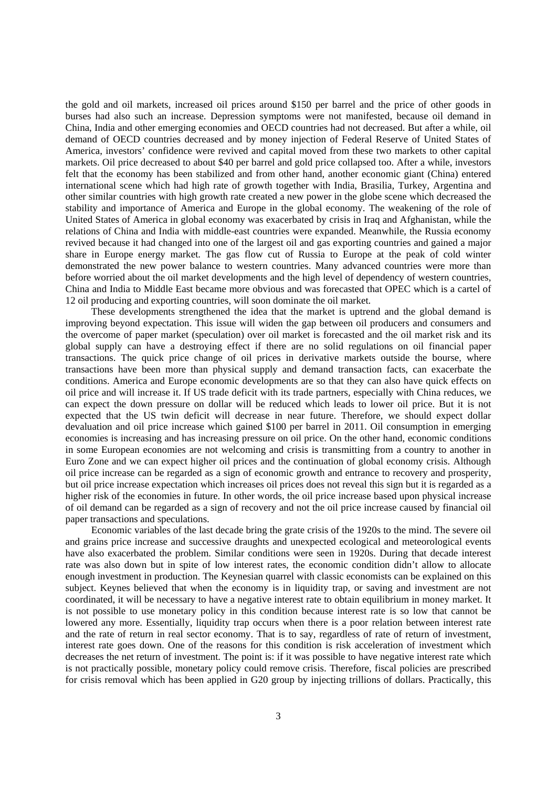the gold and oil markets, increased oil prices around \$150 per barrel and the price of other goods in burses had also such an increase. Depression symptoms were not manifested, because oil demand in China, India and other emerging economies and OECD countries had not decreased. But after a while, oil demand of OECD countries decreased and by money injection of Federal Reserve of United States of America, investors' confidence were revived and capital moved from these two markets to other capital markets. Oil price decreased to about \$40 per barrel and gold price collapsed too. After a while, investors felt that the economy has been stabilized and from other hand, another economic giant (China) entered international scene which had high rate of growth together with India, Brasilia, Turkey, Argentina and other similar countries with high growth rate created a new power in the globe scene which decreased the stability and importance of America and Europe in the global economy. The weakening of the role of United States of America in global economy was exacerbated by crisis in Iraq and Afghanistan, while the relations of China and India with middle-east countries were expanded. Meanwhile, the Russia economy revived because it had changed into one of the largest oil and gas exporting countries and gained a major share in Europe energy market. The gas flow cut of Russia to Europe at the peak of cold winter demonstrated the new power balance to western countries. Many advanced countries were more than before worried about the oil market developments and the high level of dependency of western countries, China and India to Middle East became more obvious and was forecasted that OPEC which is a cartel of 12 oil producing and exporting countries, will soon dominate the oil market.

These developments strengthened the idea that the market is uptrend and the global demand is improving beyond expectation. This issue will widen the gap between oil producers and consumers and the overcome of paper market (speculation) over oil market is forecasted and the oil market risk and its global supply can have a destroying effect if there are no solid regulations on oil financial paper transactions. The quick price change of oil prices in derivative markets outside the bourse, where transactions have been more than physical supply and demand transaction facts, can exacerbate the conditions. America and Europe economic developments are so that they can also have quick effects on oil price and will increase it. If US trade deficit with its trade partners, especially with China reduces, we can expect the down pressure on dollar will be reduced which leads to lower oil price. But it is not expected that the US twin deficit will decrease in near future. Therefore, we should expect dollar devaluation and oil price increase which gained \$100 per barrel in 2011. Oil consumption in emerging economies is increasing and has increasing pressure on oil price. On the other hand, economic conditions in some European economies are not welcoming and crisis is transmitting from a country to another in Euro Zone and we can expect higher oil prices and the continuation of global economy crisis. Although oil price increase can be regarded as a sign of economic growth and entrance to recovery and prosperity, but oil price increase expectation which increases oil prices does not reveal this sign but it is regarded as a higher risk of the economies in future. In other words, the oil price increase based upon physical increase of oil demand can be regarded as a sign of recovery and not the oil price increase caused by financial oil paper transactions and speculations.

Economic variables of the last decade bring the grate crisis of the 1920s to the mind. The severe oil and grains price increase and successive draughts and unexpected ecological and meteorological events have also exacerbated the problem. Similar conditions were seen in 1920s. During that decade interest rate was also down but in spite of low interest rates, the economic condition didn't allow to allocate enough investment in production. The Keynesian quarrel with classic economists can be explained on this subject. Keynes believed that when the economy is in liquidity trap, or saving and investment are not coordinated, it will be necessary to have a negative interest rate to obtain equilibrium in money market. It is not possible to use monetary policy in this condition because interest rate is so low that cannot be lowered any more. Essentially, liquidity trap occurs when there is a poor relation between interest rate and the rate of return in real sector economy. That is to say, regardless of rate of return of investment, interest rate goes down. One of the reasons for this condition is risk acceleration of investment which decreases the net return of investment. The point is: if it was possible to have negative interest rate which is not practically possible, monetary policy could remove crisis. Therefore, fiscal policies are prescribed for crisis removal which has been applied in G20 group by injecting trillions of dollars. Practically, this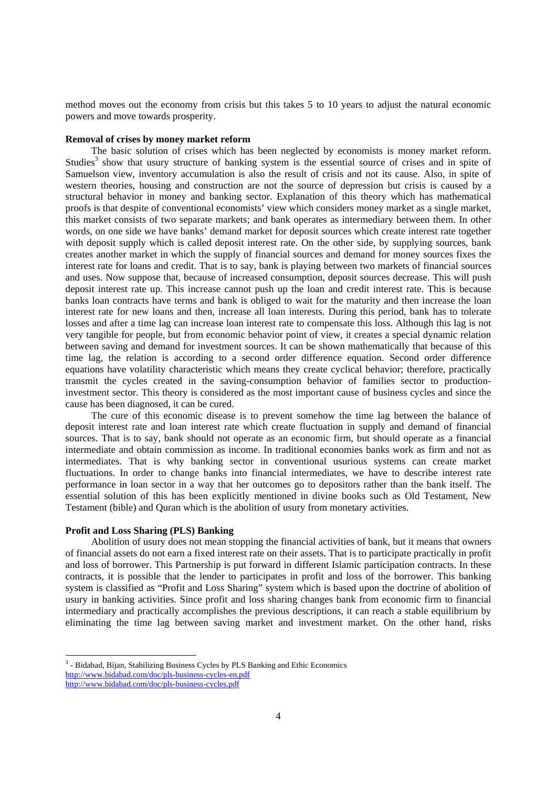method moves out the economy from crisis but this takes 5 to 10 years to adjust the natural economic powers and move towards prosperity.

#### **Removal of crises by money market reform**

The basic solution of crises which has been neglected by economists is money market reform. Studies<sup>3</sup> show that usury structure of banking system is the essential source of crises and in spite of Samuelson view, inventory accumulation is also the result of crisis and not its cause. Also, in spite of western theories, housing and construction are not the source of depression but crisis is caused by a structural behavior in money and banking sector. Explanation of this theory which has mathematical proofs is that despite of conventional economists' view which considers money market as a single market, this market consists of two separate markets; and bank operates as intermediary between them. In other words, on one side we have banks' demand market for deposit sources which create interest rate together with deposit supply which is called deposit interest rate. On the other side, by supplying sources, bank creates another market in which the supply of financial sources and demand for money sources fixes the interest rate for loans and credit. That is to say, bank is playing between two markets of financial sources and uses. Now suppose that, because of increased consumption, deposit sources decrease. This will push deposit interest rate up. This increase cannot push up the loan and credit interest rate. This is because banks loan contracts have terms and bank is obliged to wait for the maturity and then increase the loan interest rate for new loans and then, increase all loan interests. During this period, bank has to tolerate losses and after a time lag can increase loan interest rate to compensate this loss. Although this lag is not very tangible for people, but from economic behavior point of view, it creates a special dynamic relation between saving and demand for investment sources. It can be shown mathematically that because of this time lag, the relation is according to a second order difference equation. Second order difference equations have volatility characteristic which means they create cyclical behavior; therefore, practically transmit the cycles created in the saving-consumption behavior of families sector to productioninvestment sector. This theory is considered as the most important cause of business cycles and since the cause has been diagnosed, it can be cured.

The cure of this economic disease is to prevent somehow the time lag between the balance of deposit interest rate and loan interest rate which create fluctuation in supply and demand of financial sources. That is to say, bank should not operate as an economic firm, but should operate as a financial intermediate and obtain commission as income. In traditional economies banks work as firm and not as intermediates. That is why banking sector in conventional usurious systems can create market fluctuations. In order to change banks into financial intermediates, we have to describe interest rate performance in loan sector in a way that her outcomes go to depositors rather than the bank itself. The essential solution of this has been explicitly mentioned in divine books such as Old Testament, New Testament (bible) and Quran which is the abolition of usury from monetary activities.

#### **Profit and Loss Sharing (PLS) Banking**

-

Abolition of usury does not mean stopping the financial activities of bank, but it means that owners of financial assets do not earn a fixed interest rate on their assets. That is to participate practically in profit and loss of borrower. This Partnership is put forward in different Islamic participation contracts. In these contracts, it is possible that the lender to participates in profit and loss of the borrower. This banking system is classified as "Profit and Loss Sharing" system which is based upon the doctrine of abolition of usury in banking activities. Since profit and loss sharing changes bank from economic firm to financial intermediary and practically accomplishes the previous descriptions, it can reach a stable equilibrium by eliminating the time lag between saving market and investment market. On the other hand, risks

<sup>&</sup>lt;sup>3</sup> - Bidabad, Bijan, Stabilizing Business Cycles by PLS Banking and Ethic Economics http://www.bidabad.com/doc/pls-business-cycles-en.pdf http://www.bidabad.com/doc/pls-business-cycles.pdf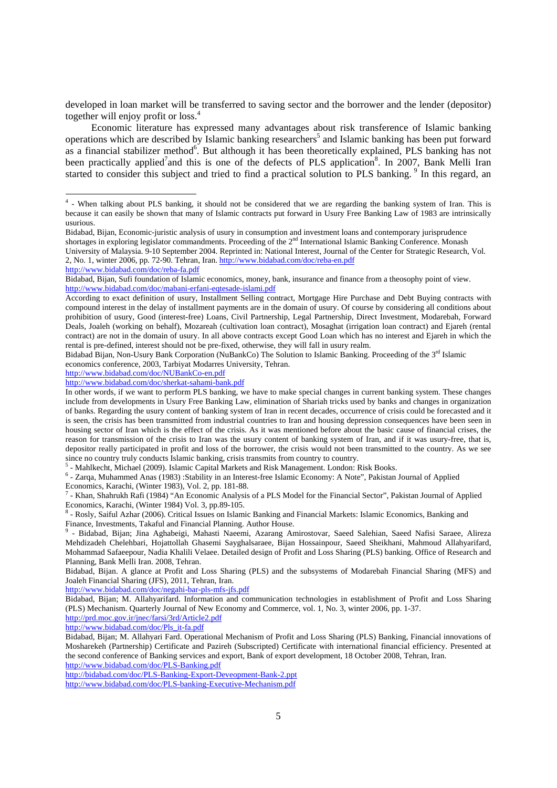developed in loan market will be transferred to saving sector and the borrower and the lender (depositor) together will enjoy profit or loss.<sup>4</sup>

Economic literature has expressed many advantages about risk transference of Islamic banking operations which are described by Islamic banking researchers<sup>5</sup> and Islamic banking has been put forward as a financial stabilizer method<sup>6</sup>. But although it has been theoretically explained, PLS banking has not been practically applied<sup>7</sup> and this is one of the defects of PLS application<sup>8</sup>. In 2007, Bank Melli Iran started to consider this subject and tried to find a practical solution to PLS banking. <sup>9</sup> In this regard, an

Bidabad, Bijan, Economic-juristic analysis of usury in consumption and investment loans and contemporary jurisprudence shortages in exploring legislator commandments. Proceeding of the  $2<sup>nd</sup>$  International Islamic Banking Conference. Monash University of Malaysia. 9-10 September 2004. Reprinted in: National Interest, Journal of the Center for Strategic Research, Vol. 2, No. 1, winter 2006, pp. 72-90. Tehran, Iran. http://www.bidabad.com/doc/reba-en.pdf

http://www.bidabad.com/doc/reba-fa.pdf

economics conference, 2003, Tarbiyat Modarres University, Tehran. http://www.bidabad.com/doc/NUBankCo-en.pdf

<sup>5</sup> - Mahlkecht, Michael (2009). Islamic Capital Markets and Risk Management. London: Risk Books.<br><sup>6</sup> - Zarge Muhammed Ange (1083) (Stebility in an Interest free Islamic Feonomy) A Note". Pekistan

7 - Khan, Shahrukh Rafi (1984) "An Economic Analysis of a PLS Model for the Financial Sector", Pakistan Journal of Applied

Economics, Karachi, (Winter 1984) Vol. 3, pp.89-105.<br><sup>8</sup> - Rosly, Saiful Azhar (2006). Critical Issues on Islamic Banking and Financial Markets: Islamic Economics, Banking and Finance, Investments, Takaful and Financial Planning. Author House.<br><sup>9</sup> Bidabed, Bijan: Jina, Aghabetsi, Mahaati, Nacami, Agarang, An

 - Bidabad, Bijan; Jina Aghabeigi, Mahasti Naeemi, Azarang Amirostovar, Saeed Salehian, Saeed Nafisi Saraee, Alireza Mehdizadeh Chelehbari, Hojattollah Ghasemi Sayghalsaraee, Bijan Hossainpour, Saeed Sheikhani, Mahmoud Allahyarifard, Mohammad Safaeepour, Nadia Khalili Velaee. Detailed design of Profit and Loss Sharing (PLS) banking. Office of Research and Planning, Bank Melli Iran. 2008, Tehran.

Bidabad, Bijan. A glance at Profit and Loss Sharing (PLS) and the subsystems of Modarebah Financial Sharing (MFS) and Joaleh Financial Sharing (JFS), 2011, Tehran, Iran.

http://www.bidabad.com/doc/negahi-bar-pls-mfs-jfs.pdf

Bidabad, Bijan; M. Allahyarifard. Information and communication technologies in establishment of Profit and Loss Sharing (PLS) Mechanism. Quarterly Journal of New Economy and Commerce, vol. 1, No. 3, winter 2006, pp. 1-37.

http://prd.moc.gov.ir/jnec/farsi/3rd/Article2.pdf

http://www.bidabad.com/doc/Pls\_it-fa.pdf

Bidabad, Bijan; M. Allahyari Fard. Operational Mechanism of Profit and Loss Sharing (PLS) Banking, Financial innovations of Mosharekeh (Partnership) Certificate and Pazireh (Subscripted) Certificate with international financial efficiency. Presented at the second conference of Banking services and export, Bank of export development, 18 October 2008, Tehran, Iran. http://www.bidabad.com/doc/PLS-Banking.pdf

http://bidabad.com/doc/PLS-Banking-Export-Deveopment-Bank-2.ppt

http://www.bidabad.com/doc/PLS-banking-Executive-Mechanism.pdf

 4 - When talking about PLS banking, it should not be considered that we are regarding the banking system of Iran. This is because it can easily be shown that many of Islamic contracts put forward in Usury Free Banking Law of 1983 are intrinsically usurious.

Bidabad, Bijan, Sufi foundation of Islamic economics, money, bank, insurance and finance from a theosophy point of view. http://www.bidabad.com/doc/mabani-erfani-eqtesade-islami.pdf

According to exact definition of usury, Installment Selling contract, Mortgage Hire Purchase and Debt Buying contracts with compound interest in the delay of installment payments are in the domain of usury. Of course by considering all conditions about prohibition of usury, Good (interest-free) Loans, Civil Partnership, Legal Partnership, Direct Investment, Modarebah, Forward Deals, Joaleh (working on behalf), Mozareah (cultivation loan contract), Mosaghat (irrigation loan contract) and Ejareh (rental contract) are not in the domain of usury. In all above contracts except Good Loan which has no interest and Ejareh in which the rental is pre-defined, interest should not be pre-fixed, otherwise, they will fall in usury realm.

Bidabad Bijan, Non-Usury Bank Corporation (NuBankCo) The Solution to Islamic Banking. Proceeding of the 3<sup>rd</sup> Islamic

http://www.bidabad.com/doc/sherkat-sahami-bank.pdf

In other words, if we want to perform PLS banking, we have to make special changes in current banking system. These changes include from developments in Usury Free Banking Law, elimination of Shariah tricks used by banks and changes in organization of banks. Regarding the usury content of banking system of Iran in recent decades, occurrence of crisis could be forecasted and it is seen, the crisis has been transmitted from industrial countries to Iran and housing depression consequences have been seen in housing sector of Iran which is the effect of the crisis. As it was mentioned before about the basic cause of financial crises, the reason for transmission of the crisis to Iran was the usury content of banking system of Iran, and if it was usury-free, that is, depositor really participated in profit and loss of the borrower, the crisis would not been transmitted to the country. As we see since no country truly conducts Islamic banking, crisis transmits from country to country.<br>  $\frac{5}{5}$  Moblkookt Michael (2000) Islamic Copital Markots and Pisk Managament London: E

 <sup>-</sup> Zarqa, Muhammed Anas (1983) :Stability in an Interest-free Islamic Economy: A Note", Pakistan Journal of Applied Economics, Karachi, (Winter 1983), Vol. 2, pp. 181-88.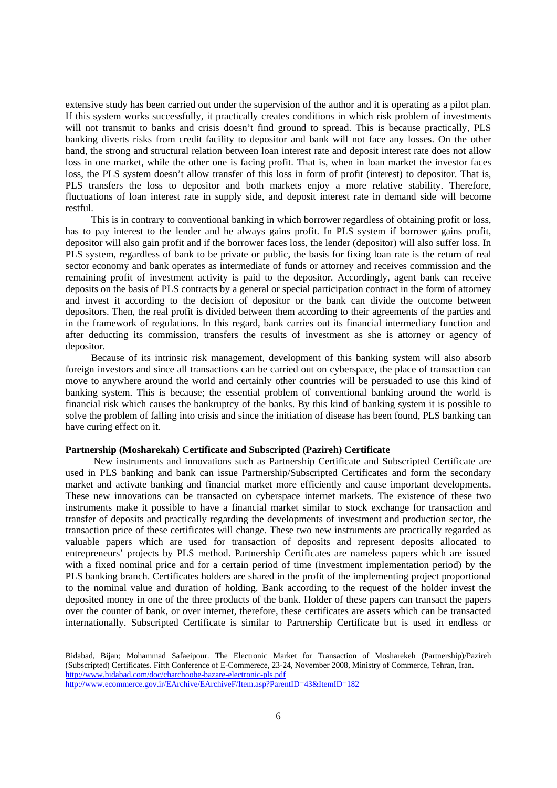extensive study has been carried out under the supervision of the author and it is operating as a pilot plan. If this system works successfully, it practically creates conditions in which risk problem of investments will not transmit to banks and crisis doesn't find ground to spread. This is because practically, PLS banking diverts risks from credit facility to depositor and bank will not face any losses. On the other hand, the strong and structural relation between loan interest rate and deposit interest rate does not allow loss in one market, while the other one is facing profit. That is, when in loan market the investor faces loss, the PLS system doesn't allow transfer of this loss in form of profit (interest) to depositor. That is, PLS transfers the loss to depositor and both markets enjoy a more relative stability. Therefore, fluctuations of loan interest rate in supply side, and deposit interest rate in demand side will become restful.

This is in contrary to conventional banking in which borrower regardless of obtaining profit or loss, has to pay interest to the lender and he always gains profit. In PLS system if borrower gains profit, depositor will also gain profit and if the borrower faces loss, the lender (depositor) will also suffer loss. In PLS system, regardless of bank to be private or public, the basis for fixing loan rate is the return of real sector economy and bank operates as intermediate of funds or attorney and receives commission and the remaining profit of investment activity is paid to the depositor. Accordingly, agent bank can receive deposits on the basis of PLS contracts by a general or special participation contract in the form of attorney and invest it according to the decision of depositor or the bank can divide the outcome between depositors. Then, the real profit is divided between them according to their agreements of the parties and in the framework of regulations. In this regard, bank carries out its financial intermediary function and after deducting its commission, transfers the results of investment as she is attorney or agency of depositor.

Because of its intrinsic risk management, development of this banking system will also absorb foreign investors and since all transactions can be carried out on cyberspace, the place of transaction can move to anywhere around the world and certainly other countries will be persuaded to use this kind of banking system. This is because; the essential problem of conventional banking around the world is financial risk which causes the bankruptcy of the banks. By this kind of banking system it is possible to solve the problem of falling into crisis and since the initiation of disease has been found, PLS banking can have curing effect on it.

#### **Partnership (Mosharekah) Certificate and Subscripted (Pazireh) Certificate**

 New instruments and innovations such as Partnership Certificate and Subscripted Certificate are used in PLS banking and bank can issue Partnership/Subscripted Certificates and form the secondary market and activate banking and financial market more efficiently and cause important developments. These new innovations can be transacted on cyberspace internet markets. The existence of these two instruments make it possible to have a financial market similar to stock exchange for transaction and transfer of deposits and practically regarding the developments of investment and production sector, the transaction price of these certificates will change. These two new instruments are practically regarded as valuable papers which are used for transaction of deposits and represent deposits allocated to entrepreneurs' projects by PLS method. Partnership Certificates are nameless papers which are issued with a fixed nominal price and for a certain period of time (investment implementation period) by the PLS banking branch. Certificates holders are shared in the profit of the implementing project proportional to the nominal value and duration of holding. Bank according to the request of the holder invest the deposited money in one of the three products of the bank. Holder of these papers can transact the papers over the counter of bank, or over internet, therefore, these certificates are assets which can be transacted internationally. Subscripted Certificate is similar to Partnership Certificate but is used in endless or

Bidabad, Bijan; Mohammad Safaeipour. The Electronic Market for Transaction of Mosharekeh (Partnership)/Pazireh (Subscripted) Certificates. Fifth Conference of E-Commerece, 23-24, November 2008, Ministry of Commerce, Tehran, Iran. http://www.bidabad.com/doc/charchoobe-bazare-electronic-pls.pdf http://www.ecommerce.gov.ir/EArchive/EArchiveF/Item.asp?ParentID=43&ItemID=182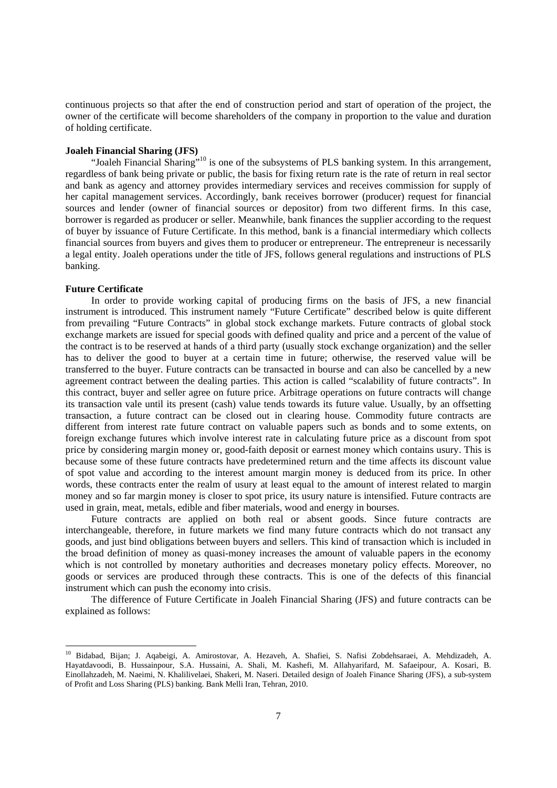continuous projects so that after the end of construction period and start of operation of the project, the owner of the certificate will become shareholders of the company in proportion to the value and duration of holding certificate.

### **Joaleh Financial Sharing (JFS)**

"Joaleh Financial Sharing"<sup>10</sup> is one of the subsystems of PLS banking system. In this arrangement, regardless of bank being private or public, the basis for fixing return rate is the rate of return in real sector and bank as agency and attorney provides intermediary services and receives commission for supply of her capital management services. Accordingly, bank receives borrower (producer) request for financial sources and lender (owner of financial sources or depositor) from two different firms. In this case, borrower is regarded as producer or seller. Meanwhile, bank finances the supplier according to the request of buyer by issuance of Future Certificate. In this method, bank is a financial intermediary which collects financial sources from buyers and gives them to producer or entrepreneur. The entrepreneur is necessarily a legal entity. Joaleh operations under the title of JFS, follows general regulations and instructions of PLS banking.

#### **Future Certificate**

-

In order to provide working capital of producing firms on the basis of JFS, a new financial instrument is introduced. This instrument namely "Future Certificate" described below is quite different from prevailing "Future Contracts" in global stock exchange markets. Future contracts of global stock exchange markets are issued for special goods with defined quality and price and a percent of the value of the contract is to be reserved at hands of a third party (usually stock exchange organization) and the seller has to deliver the good to buyer at a certain time in future; otherwise, the reserved value will be transferred to the buyer. Future contracts can be transacted in bourse and can also be cancelled by a new agreement contract between the dealing parties. This action is called "scalability of future contracts". In this contract, buyer and seller agree on future price. Arbitrage operations on future contracts will change its transaction vale until its present (cash) value tends towards its future value. Usually, by an offsetting transaction, a future contract can be closed out in clearing house. Commodity future contracts are different from interest rate future contract on valuable papers such as bonds and to some extents, on foreign exchange futures which involve interest rate in calculating future price as a discount from spot price by considering margin money or, good-faith deposit or earnest money which contains usury. This is because some of these future contracts have predetermined return and the time affects its discount value of spot value and according to the interest amount margin money is deduced from its price. In other words, these contracts enter the realm of usury at least equal to the amount of interest related to margin money and so far margin money is closer to spot price, its usury nature is intensified. Future contracts are used in grain, meat, metals, edible and fiber materials, wood and energy in bourses.

Future contracts are applied on both real or absent goods. Since future contracts are interchangeable, therefore, in future markets we find many future contracts which do not transact any goods, and just bind obligations between buyers and sellers. This kind of transaction which is included in the broad definition of money as quasi-money increases the amount of valuable papers in the economy which is not controlled by monetary authorities and decreases monetary policy effects. Moreover, no goods or services are produced through these contracts. This is one of the defects of this financial instrument which can push the economy into crisis.

The difference of Future Certificate in Joaleh Financial Sharing (JFS) and future contracts can be explained as follows:

<sup>10</sup> Bidabad, Bijan; J. Aqabeigi, A. Amirostovar, A. Hezaveh, A. Shafiei, S. Nafisi Zobdehsaraei, A. Mehdizadeh, A. Hayatdavoodi, B. Hussainpour, S.A. Hussaini, A. Shali, M. Kashefi, M. Allahyarifard, M. Safaeipour, A. Kosari, B. Einollahzadeh, M. Naeimi, N. Khalilivelaei, Shakeri, M. Naseri. Detailed design of Joaleh Finance Sharing (JFS), a sub-system of Profit and Loss Sharing (PLS) banking. Bank Melli Iran, Tehran, 2010.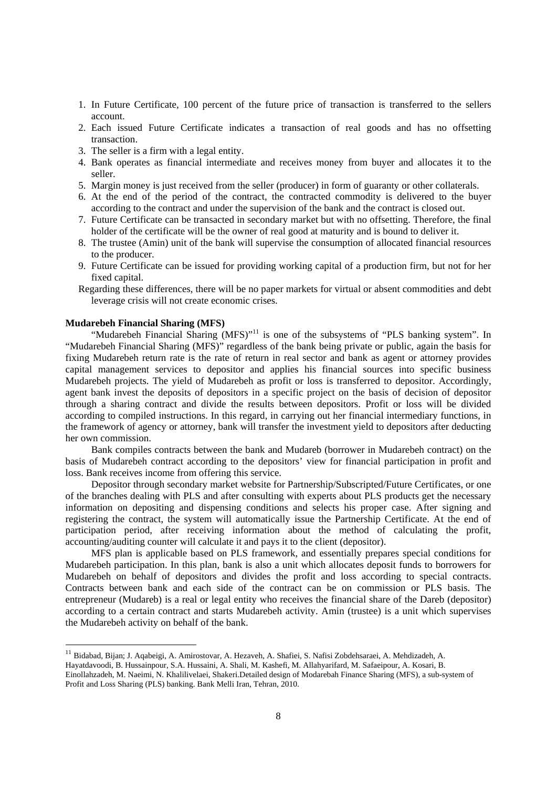- 1. In Future Certificate, 100 percent of the future price of transaction is transferred to the sellers account.
- 2. Each issued Future Certificate indicates a transaction of real goods and has no offsetting transaction.
- 3. The seller is a firm with a legal entity.
- 4. Bank operates as financial intermediate and receives money from buyer and allocates it to the seller.
- 5. Margin money is just received from the seller (producer) in form of guaranty or other collaterals.
- 6. At the end of the period of the contract, the contracted commodity is delivered to the buyer according to the contract and under the supervision of the bank and the contract is closed out.
- 7. Future Certificate can be transacted in secondary market but with no offsetting. Therefore, the final holder of the certificate will be the owner of real good at maturity and is bound to deliver it.
- 8. The trustee (Amin) unit of the bank will supervise the consumption of allocated financial resources to the producer.
- 9. Future Certificate can be issued for providing working capital of a production firm, but not for her fixed capital.
- Regarding these differences, there will be no paper markets for virtual or absent commodities and debt leverage crisis will not create economic crises.

## **Mudarebeh Financial Sharing (MFS)**

-

"Mudarebeh Financial Sharing (MFS)"<sup>11</sup> is one of the subsystems of "PLS banking system". In "Mudarebeh Financial Sharing (MFS)" regardless of the bank being private or public, again the basis for fixing Mudarebeh return rate is the rate of return in real sector and bank as agent or attorney provides capital management services to depositor and applies his financial sources into specific business Mudarebeh projects. The yield of Mudarebeh as profit or loss is transferred to depositor. Accordingly, agent bank invest the deposits of depositors in a specific project on the basis of decision of depositor through a sharing contract and divide the results between depositors. Profit or loss will be divided according to compiled instructions. In this regard, in carrying out her financial intermediary functions, in the framework of agency or attorney, bank will transfer the investment yield to depositors after deducting her own commission.

Bank compiles contracts between the bank and Mudareb (borrower in Mudarebeh contract) on the basis of Mudarebeh contract according to the depositors' view for financial participation in profit and loss. Bank receives income from offering this service.

Depositor through secondary market website for Partnership/Subscripted/Future Certificates, or one of the branches dealing with PLS and after consulting with experts about PLS products get the necessary information on depositing and dispensing conditions and selects his proper case. After signing and registering the contract, the system will automatically issue the Partnership Certificate. At the end of participation period, after receiving information about the method of calculating the profit, accounting/auditing counter will calculate it and pays it to the client (depositor).

MFS plan is applicable based on PLS framework, and essentially prepares special conditions for Mudarebeh participation. In this plan, bank is also a unit which allocates deposit funds to borrowers for Mudarebeh on behalf of depositors and divides the profit and loss according to special contracts. Contracts between bank and each side of the contract can be on commission or PLS basis. The entrepreneur (Mudareb) is a real or legal entity who receives the financial share of the Dareb (depositor) according to a certain contract and starts Mudarebeh activity. Amin (trustee) is a unit which supervises the Mudarebeh activity on behalf of the bank.

<sup>&</sup>lt;sup>11</sup> Bidabad, Bijan; J. Aqabeigi, A. Amirostovar, A. Hezaveh, A. Shafiei, S. Nafisi Zobdehsaraei, A. Mehdizadeh, A. Hayatdavoodi, B. Hussainpour, S.A. Hussaini, A. Shali, M. Kashefi, M. Allahyarifard, M. Safaeipour, A. Kosari, B.

Einollahzadeh, M. Naeimi, N. Khalilivelaei, Shakeri.Detailed design of Modarebah Finance Sharing (MFS), a sub-system of Profit and Loss Sharing (PLS) banking. Bank Melli Iran, Tehran, 2010.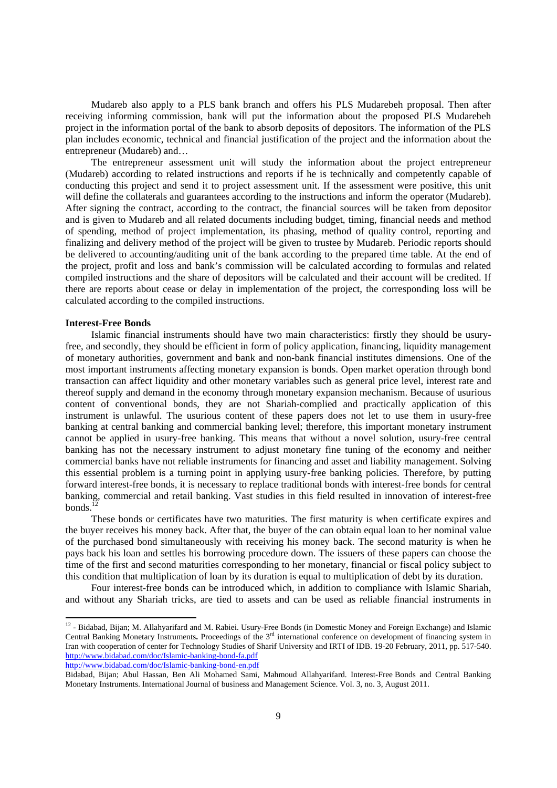Mudareb also apply to a PLS bank branch and offers his PLS Mudarebeh proposal. Then after receiving informing commission, bank will put the information about the proposed PLS Mudarebeh project in the information portal of the bank to absorb deposits of depositors. The information of the PLS plan includes economic, technical and financial justification of the project and the information about the entrepreneur (Mudareb) and…

The entrepreneur assessment unit will study the information about the project entrepreneur (Mudareb) according to related instructions and reports if he is technically and competently capable of conducting this project and send it to project assessment unit. If the assessment were positive, this unit will define the collaterals and guarantees according to the instructions and inform the operator (Mudareb). After signing the contract, according to the contract, the financial sources will be taken from depositor and is given to Mudareb and all related documents including budget, timing, financial needs and method of spending, method of project implementation, its phasing, method of quality control, reporting and finalizing and delivery method of the project will be given to trustee by Mudareb. Periodic reports should be delivered to accounting/auditing unit of the bank according to the prepared time table. At the end of the project, profit and loss and bank's commission will be calculated according to formulas and related compiled instructions and the share of depositors will be calculated and their account will be credited. If there are reports about cease or delay in implementation of the project, the corresponding loss will be calculated according to the compiled instructions.

## **Interest-Free Bonds**

1

Islamic financial instruments should have two main characteristics: firstly they should be usuryfree, and secondly, they should be efficient in form of policy application, financing, liquidity management of monetary authorities, government and bank and non-bank financial institutes dimensions. One of the most important instruments affecting monetary expansion is bonds. Open market operation through bond transaction can affect liquidity and other monetary variables such as general price level, interest rate and thereof supply and demand in the economy through monetary expansion mechanism. Because of usurious content of conventional bonds, they are not Shariah-complied and practically application of this instrument is unlawful. The usurious content of these papers does not let to use them in usury-free banking at central banking and commercial banking level; therefore, this important monetary instrument cannot be applied in usury-free banking. This means that without a novel solution, usury-free central banking has not the necessary instrument to adjust monetary fine tuning of the economy and neither commercial banks have not reliable instruments for financing and asset and liability management. Solving this essential problem is a turning point in applying usury-free banking policies. Therefore, by putting forward interest-free bonds, it is necessary to replace traditional bonds with interest-free bonds for central banking, commercial and retail banking. Vast studies in this field resulted in innovation of interest-free bonds. $<sup>1</sup>$ </sup>

These bonds or certificates have two maturities. The first maturity is when certificate expires and the buyer receives his money back. After that, the buyer of the can obtain equal loan to her nominal value of the purchased bond simultaneously with receiving his money back. The second maturity is when he pays back his loan and settles his borrowing procedure down. The issuers of these papers can choose the time of the first and second maturities corresponding to her monetary, financial or fiscal policy subject to this condition that multiplication of loan by its duration is equal to multiplication of debt by its duration.

Four interest-free bonds can be introduced which, in addition to compliance with Islamic Shariah, and without any Shariah tricks, are tied to assets and can be used as reliable financial instruments in

http://www.bidabad.com/doc/Islamic-banking-bond-en.pdf

 $12$  - Bidabad, Bijan; M. Allahyarifard and M. Rabiei. Usury-Free Bonds (in Domestic Money and Foreign Exchange) and Islamic Central Banking Monetary Instruments**.** Proceedings of the 3rd international conference on development of financing system in Iran with cooperation of center for Technology Studies of Sharif University and IRTI of IDB. 19-20 February, 2011, pp. 517-540. http://www.bidabad.com/doc/Islamic-banking-bond-fa.pdf

Bidabad, Bijan; Abul Hassan, Ben Ali Mohamed Sami, Mahmoud Allahyarifard. Interest-Free Bonds and Central Banking Monetary Instruments. International Journal of business and Management Science. Vol. 3, no. 3, August 2011.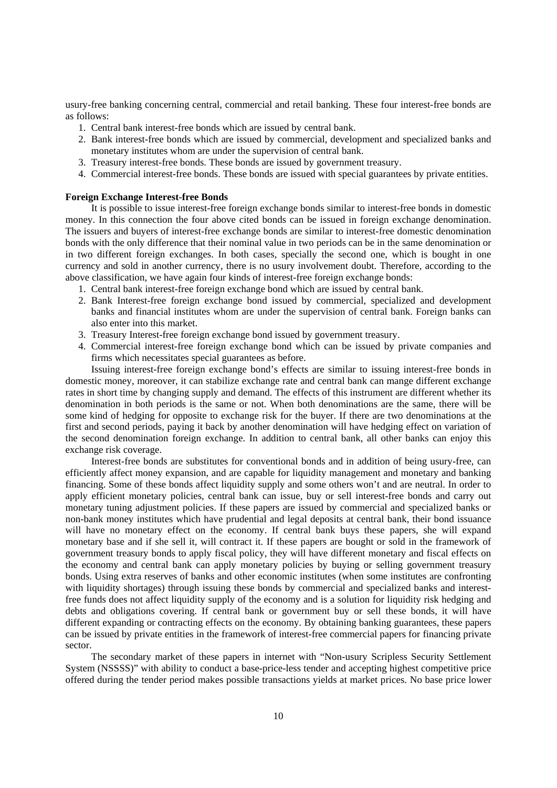usury-free banking concerning central, commercial and retail banking. These four interest-free bonds are as follows:

- 1. Central bank interest-free bonds which are issued by central bank.
- 2. Bank interest-free bonds which are issued by commercial, development and specialized banks and monetary institutes whom are under the supervision of central bank.
- 3. Treasury interest-free bonds. These bonds are issued by government treasury.
- 4. Commercial interest-free bonds. These bonds are issued with special guarantees by private entities.

#### **Foreign Exchange Interest-free Bonds**

It is possible to issue interest-free foreign exchange bonds similar to interest-free bonds in domestic money. In this connection the four above cited bonds can be issued in foreign exchange denomination. The issuers and buyers of interest-free exchange bonds are similar to interest-free domestic denomination bonds with the only difference that their nominal value in two periods can be in the same denomination or in two different foreign exchanges. In both cases, specially the second one, which is bought in one currency and sold in another currency, there is no usury involvement doubt. Therefore, according to the above classification, we have again four kinds of interest-free foreign exchange bonds:

- 1. Central bank interest-free foreign exchange bond which are issued by central bank.
- 2. Bank Interest-free foreign exchange bond issued by commercial, specialized and development banks and financial institutes whom are under the supervision of central bank. Foreign banks can also enter into this market.
- 3. Treasury Interest-free foreign exchange bond issued by government treasury.
- 4. Commercial interest-free foreign exchange bond which can be issued by private companies and firms which necessitates special guarantees as before.

Issuing interest-free foreign exchange bond's effects are similar to issuing interest-free bonds in domestic money, moreover, it can stabilize exchange rate and central bank can mange different exchange rates in short time by changing supply and demand. The effects of this instrument are different whether its denomination in both periods is the same or not. When both denominations are the same, there will be some kind of hedging for opposite to exchange risk for the buyer. If there are two denominations at the first and second periods, paying it back by another denomination will have hedging effect on variation of the second denomination foreign exchange. In addition to central bank, all other banks can enjoy this exchange risk coverage.

Interest-free bonds are substitutes for conventional bonds and in addition of being usury-free, can efficiently affect money expansion, and are capable for liquidity management and monetary and banking financing. Some of these bonds affect liquidity supply and some others won't and are neutral. In order to apply efficient monetary policies, central bank can issue, buy or sell interest-free bonds and carry out monetary tuning adjustment policies. If these papers are issued by commercial and specialized banks or non-bank money institutes which have prudential and legal deposits at central bank, their bond issuance will have no monetary effect on the economy. If central bank buys these papers, she will expand monetary base and if she sell it, will contract it. If these papers are bought or sold in the framework of government treasury bonds to apply fiscal policy, they will have different monetary and fiscal effects on the economy and central bank can apply monetary policies by buying or selling government treasury bonds. Using extra reserves of banks and other economic institutes (when some institutes are confronting with liquidity shortages) through issuing these bonds by commercial and specialized banks and interestfree funds does not affect liquidity supply of the economy and is a solution for liquidity risk hedging and debts and obligations covering. If central bank or government buy or sell these bonds, it will have different expanding or contracting effects on the economy. By obtaining banking guarantees, these papers can be issued by private entities in the framework of interest-free commercial papers for financing private sector.

The secondary market of these papers in internet with "Non-usury Scripless Security Settlement System (NSSSS)" with ability to conduct a base-price-less tender and accepting highest competitive price offered during the tender period makes possible transactions yields at market prices. No base price lower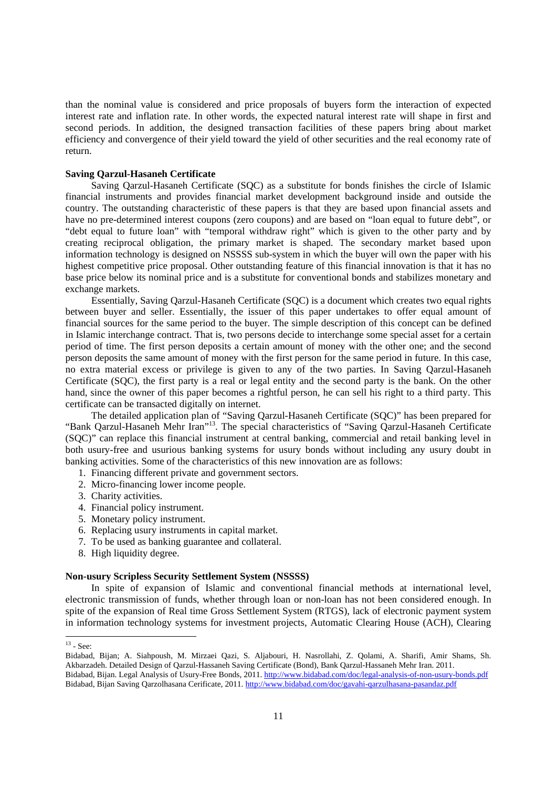than the nominal value is considered and price proposals of buyers form the interaction of expected interest rate and inflation rate. In other words, the expected natural interest rate will shape in first and second periods. In addition, the designed transaction facilities of these papers bring about market efficiency and convergence of their yield toward the yield of other securities and the real economy rate of return.

#### **Saving Qarzul-Hasaneh Certificate**

Saving Qarzul-Hasaneh Certificate (SQC) as a substitute for bonds finishes the circle of Islamic financial instruments and provides financial market development background inside and outside the country. The outstanding characteristic of these papers is that they are based upon financial assets and have no pre-determined interest coupons (zero coupons) and are based on "loan equal to future debt", or "debt equal to future loan" with "temporal withdraw right" which is given to the other party and by creating reciprocal obligation, the primary market is shaped. The secondary market based upon information technology is designed on NSSSS sub-system in which the buyer will own the paper with his highest competitive price proposal. Other outstanding feature of this financial innovation is that it has no base price below its nominal price and is a substitute for conventional bonds and stabilizes monetary and exchange markets.

Essentially, Saving Qarzul-Hasaneh Certificate (SQC) is a document which creates two equal rights between buyer and seller. Essentially, the issuer of this paper undertakes to offer equal amount of financial sources for the same period to the buyer. The simple description of this concept can be defined in Islamic interchange contract. That is, two persons decide to interchange some special asset for a certain period of time. The first person deposits a certain amount of money with the other one; and the second person deposits the same amount of money with the first person for the same period in future. In this case, no extra material excess or privilege is given to any of the two parties. In Saving Qarzul-Hasaneh Certificate (SQC), the first party is a real or legal entity and the second party is the bank. On the other hand, since the owner of this paper becomes a rightful person, he can sell his right to a third party. This certificate can be transacted digitally on internet.

The detailed application plan of "Saving Qarzul-Hasaneh Certificate (SQC)" has been prepared for "Bank Qarzul-Hasaneh Mehr Iran"13. The special characteristics of "Saving Qarzul-Hasaneh Certificate (SQC)" can replace this financial instrument at central banking, commercial and retail banking level in both usury-free and usurious banking systems for usury bonds without including any usury doubt in banking activities. Some of the characteristics of this new innovation are as follows:

- 1. Financing different private and government sectors.
- 2. Micro-financing lower income people.
- 3. Charity activities.
- 4. Financial policy instrument.
- 5. Monetary policy instrument.
- 6. Replacing usury instruments in capital market.
- 7. To be used as banking guarantee and collateral.
- 8. High liquidity degree.

#### **Non-usury Scripless Security Settlement System (NSSSS)**

In spite of expansion of Islamic and conventional financial methods at international level, electronic transmission of funds, whether through loan or non-loan has not been considered enough. In spite of the expansion of Real time Gross Settlement System (RTGS), lack of electronic payment system in information technology systems for investment projects, Automatic Clearing House (ACH), Clearing

-

 $13$  - See:

Bidabad, Bijan; A. Siahpoush, M. Mirzaei Qazi, S. Aljabouri, H. Nasrollahi, Z. Qolami, A. Sharifi, Amir Shams, Sh. Akbarzadeh. Detailed Design of Qarzul-Hassaneh Saving Certificate (Bond), Bank Qarzul-Hassaneh Mehr Iran. 2011. Bidabad, Bijan. Legal Analysis of Usury-Free Bonds, 2011. http://www.bidabad.com/doc/legal-analysis-of-non-usury-bonds.pdf Bidabad, Bijan Saving Qarzolhasana Cerificate, 2011. http://www.bidabad.com/doc/gavahi-qarzulhasana-pasandaz.pdf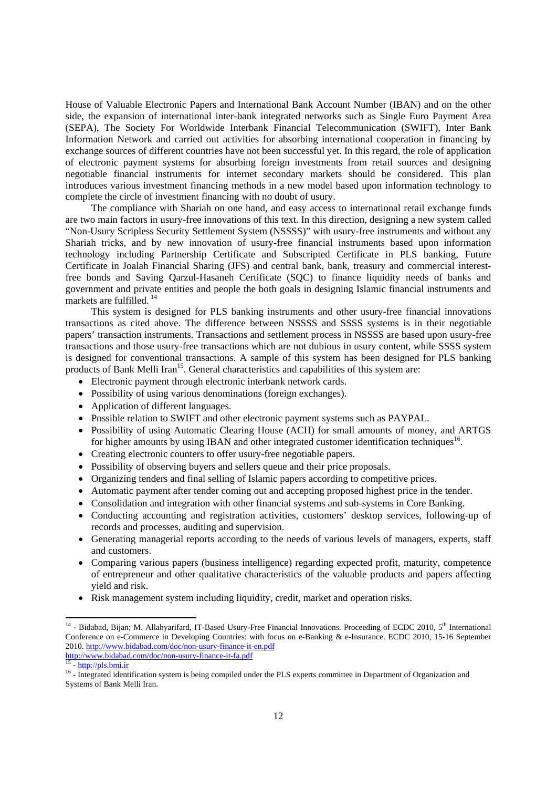House of Valuable Electronic Papers and International Bank Account Number (IBAN) and on the other side, the expansion of international inter-bank integrated networks such as Single Euro Payment Area (SEPA), The Society For Worldwide Interbank Financial Telecommunication (SWIFT), Inter Bank Information Network and carried out activities for absorbing international cooperation in financing by exchange sources of different countries have not been successful yet. In this regard, the role of application of electronic payment systems for absorbing foreign investments from retail sources and designing negotiable financial instruments for internet secondary markets should be considered. This plan introduces various investment financing methods in a new model based upon information technology to complete the circle of investment financing with no doubt of usury.

The compliance with Shariah on one hand, and easy access to international retail exchange funds are two main factors in usury-free innovations of this text. In this direction, designing a new system called "Non-Usury Scripless Security Settlement System (NSSSS)" with usury-free instruments and without any Shariah tricks, and by new innovation of usury-free financial instruments based upon information technology including Partnership Certificate and Subscripted Certificate in PLS banking, Future Certificate in Joalah Financial Sharing (JFS) and central bank, bank, treasury and commercial interestfree bonds and Saving Qarzul-Hasaneh Certificate (SQC) to finance liquidity needs of banks and government and private entities and people the both goals in designing Islamic financial instruments and markets are fulfilled. 14

This system is designed for PLS banking instruments and other usury-free financial innovations transactions as cited above. The difference between NSSSS and SSSS systems is in their negotiable papers' transaction instruments. Transactions and settlement process in NSSSS are based upon usury-free transactions and those usury-free transactions which are not dubious in usury content, while SSSS system is designed for conventional transactions. A sample of this system has been designed for PLS banking products of Bank Melli Iran<sup>15</sup>. General characteristics and capabilities of this system are:

- Electronic payment through electronic interbank network cards.
- Possibility of using various denominations (foreign exchanges).
- Application of different languages.
- Possible relation to SWIFT and other electronic payment systems such as PAYPAL.
- Possibility of using Automatic Clearing House (ACH) for small amounts of money, and ARTGS for higher amounts by using IBAN and other integrated customer identification techniques<sup>16</sup>.
- Creating electronic counters to offer usury-free negotiable papers.
- Possibility of observing buyers and sellers queue and their price proposals.
- Organizing tenders and final selling of Islamic papers according to competitive prices.
- Automatic payment after tender coming out and accepting proposed highest price in the tender.
- Consolidation and integration with other financial systems and sub-systems in Core Banking.
- Conducting accounting and registration activities, customers' desktop services, following-up of records and processes, auditing and supervision.
- Generating managerial reports according to the needs of various levels of managers, experts, staff and customers.
- Comparing various papers (business intelligence) regarding expected profit, maturity, competence of entrepreneur and other qualitative characteristics of the valuable products and papers affecting yield and risk.
- Risk management system including liquidity, credit, market and operation risks.

1

 $14$  - Bidabad, Bijan; M. Allahyarifard, IT-Based Usury-Free Financial Innovations. Proceeding of ECDC 2010,  $5<sup>th</sup>$  International Conference on e-Commerce in Developing Countries: with focus on e-Banking & e-Insurance. ECDC 2010, 15-16 September 2010. http://www.bidabad.com/doc/non-usury-finance-it-en.pdf<br>
http://www.bidabad.com/doc/non-usury-finance-it-fa.pdf<br>
<sup>15</sup> - http://pls.bmi.ir<br>
<sup>16</sup> - Integrated identification system is being compiled under the PLS expert

Systems of Bank Melli Iran.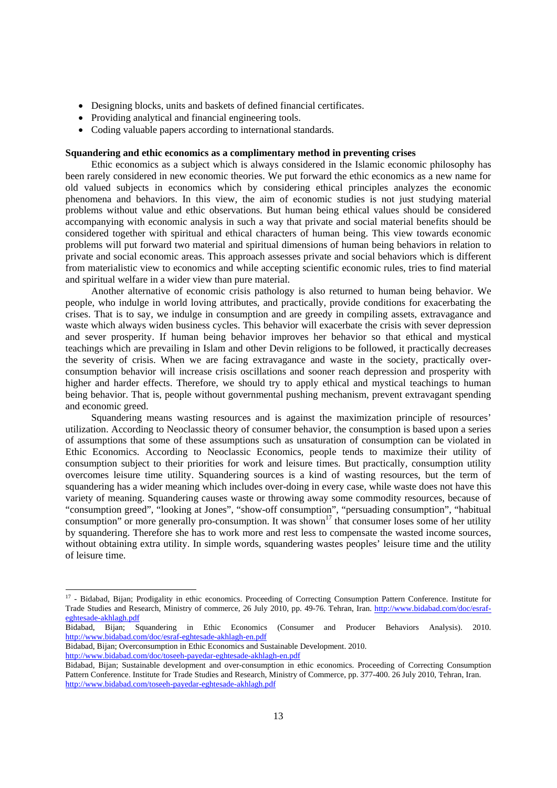- Designing blocks, units and baskets of defined financial certificates.
- Providing analytical and financial engineering tools.
- Coding valuable papers according to international standards.

## **Squandering and ethic economics as a complimentary method in preventing crises**

Ethic economics as a subject which is always considered in the Islamic economic philosophy has been rarely considered in new economic theories. We put forward the ethic economics as a new name for old valued subjects in economics which by considering ethical principles analyzes the economic phenomena and behaviors. In this view, the aim of economic studies is not just studying material problems without value and ethic observations. But human being ethical values should be considered accompanying with economic analysis in such a way that private and social material benefits should be considered together with spiritual and ethical characters of human being. This view towards economic problems will put forward two material and spiritual dimensions of human being behaviors in relation to private and social economic areas. This approach assesses private and social behaviors which is different from materialistic view to economics and while accepting scientific economic rules, tries to find material and spiritual welfare in a wider view than pure material.

Another alternative of economic crisis pathology is also returned to human being behavior. We people, who indulge in world loving attributes, and practically, provide conditions for exacerbating the crises. That is to say, we indulge in consumption and are greedy in compiling assets, extravagance and waste which always widen business cycles. This behavior will exacerbate the crisis with sever depression and sever prosperity. If human being behavior improves her behavior so that ethical and mystical teachings which are prevailing in Islam and other Devin religions to be followed, it practically decreases the severity of crisis. When we are facing extravagance and waste in the society, practically overconsumption behavior will increase crisis oscillations and sooner reach depression and prosperity with higher and harder effects. Therefore, we should try to apply ethical and mystical teachings to human being behavior. That is, people without governmental pushing mechanism, prevent extravagant spending and economic greed.

Squandering means wasting resources and is against the maximization principle of resources' utilization. According to Neoclassic theory of consumer behavior, the consumption is based upon a series of assumptions that some of these assumptions such as unsaturation of consumption can be violated in Ethic Economics. According to Neoclassic Economics, people tends to maximize their utility of consumption subject to their priorities for work and leisure times. But practically, consumption utility overcomes leisure time utility. Squandering sources is a kind of wasting resources, but the term of squandering has a wider meaning which includes over-doing in every case, while waste does not have this variety of meaning. Squandering causes waste or throwing away some commodity resources, because of "consumption greed", "looking at Jones", "show-off consumption", "persuading consumption", "habitual consumption" or more generally pro-consumption. It was shown<sup>17</sup> that consumer loses some of her utility by squandering. Therefore she has to work more and rest less to compensate the wasted income sources, without obtaining extra utility. In simple words, squandering wastes peoples' leisure time and the utility of leisure time.

-

 $17$  - Bidabad, Bijan; Prodigality in ethic economics. Proceeding of Correcting Consumption Pattern Conference. Institute for Trade Studies and Research, Ministry of commerce, 26 July 2010, pp. 49-76. Tehran, Iran. http://www.bidabad.com/doc/esrafeghtesade-akhlagh.pdf

Bidabad, Bijan; Squandering in Ethic Economics (Consumer and Producer Behaviors Analysis). 2010. http://www.bidabad.com/doc/esraf-eghtesade-akhlagh-en.pdf

Bidabad, Bijan; Overconsumption in Ethic Economics and Sustainable Development. 2010.

http://www.bidabad.com/doc/toseeh-payedar-eghtesade-akhlagh-en.pdf

Bidabad, Bijan; Sustainable development and over-consumption in ethic economics. Proceeding of Correcting Consumption Pattern Conference. Institute for Trade Studies and Research, Ministry of Commerce, pp. 377-400. 26 July 2010, Tehran, Iran. http://www.bidabad.com/toseeh-payedar-eghtesade-akhlagh.pdf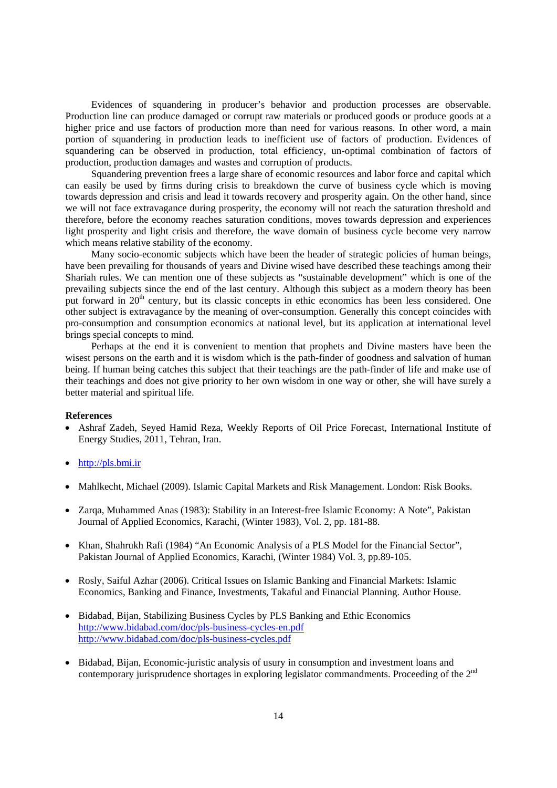Evidences of squandering in producer's behavior and production processes are observable. Production line can produce damaged or corrupt raw materials or produced goods or produce goods at a higher price and use factors of production more than need for various reasons. In other word, a main portion of squandering in production leads to inefficient use of factors of production. Evidences of squandering can be observed in production, total efficiency, un-optimal combination of factors of production, production damages and wastes and corruption of products.

Squandering prevention frees a large share of economic resources and labor force and capital which can easily be used by firms during crisis to breakdown the curve of business cycle which is moving towards depression and crisis and lead it towards recovery and prosperity again. On the other hand, since we will not face extravagance during prosperity, the economy will not reach the saturation threshold and therefore, before the economy reaches saturation conditions, moves towards depression and experiences light prosperity and light crisis and therefore, the wave domain of business cycle become very narrow which means relative stability of the economy.

Many socio-economic subjects which have been the header of strategic policies of human beings, have been prevailing for thousands of years and Divine wised have described these teachings among their Shariah rules. We can mention one of these subjects as "sustainable development" which is one of the prevailing subjects since the end of the last century. Although this subject as a modern theory has been put forward in 20<sup>th</sup> century, but its classic concepts in ethic economics has been less considered. One other subject is extravagance by the meaning of over-consumption. Generally this concept coincides with pro-consumption and consumption economics at national level, but its application at international level brings special concepts to mind.

Perhaps at the end it is convenient to mention that prophets and Divine masters have been the wisest persons on the earth and it is wisdom which is the path-finder of goodness and salvation of human being. If human being catches this subject that their teachings are the path-finder of life and make use of their teachings and does not give priority to her own wisdom in one way or other, she will have surely a better material and spiritual life.

#### **References**

- Ashraf Zadeh, Seyed Hamid Reza, Weekly Reports of Oil Price Forecast, International Institute of Energy Studies, 2011, Tehran, Iran.
- http://pls.bmi.ir
- Mahlkecht, Michael (2009). Islamic Capital Markets and Risk Management. London: Risk Books.
- Zarqa, Muhammed Anas (1983): Stability in an Interest-free Islamic Economy: A Note", Pakistan Journal of Applied Economics, Karachi, (Winter 1983), Vol. 2, pp. 181-88.
- Khan, Shahrukh Rafi (1984) "An Economic Analysis of a PLS Model for the Financial Sector", Pakistan Journal of Applied Economics, Karachi, (Winter 1984) Vol. 3, pp.89-105.
- Rosly, Saiful Azhar (2006). Critical Issues on Islamic Banking and Financial Markets: Islamic Economics, Banking and Finance, Investments, Takaful and Financial Planning. Author House.
- Bidabad, Bijan, Stabilizing Business Cycles by PLS Banking and Ethic Economics http://www.bidabad.com/doc/pls-business-cycles-en.pdf http://www.bidabad.com/doc/pls-business-cycles.pdf
- Bidabad, Bijan, Economic-juristic analysis of usury in consumption and investment loans and contemporary jurisprudence shortages in exploring legislator commandments. Proceeding of the 2<sup>nd</sup>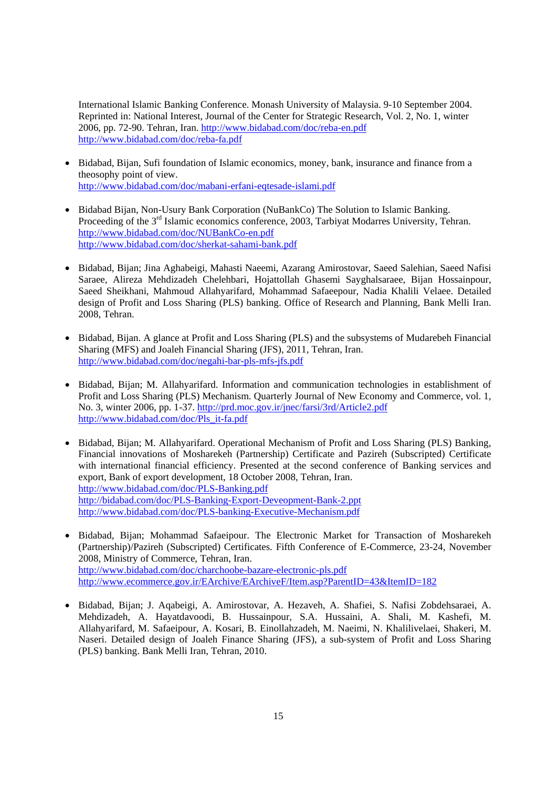International Islamic Banking Conference. Monash University of Malaysia. 9-10 September 2004. Reprinted in: National Interest, Journal of the Center for Strategic Research, Vol. 2, No. 1, winter 2006, pp. 72-90. Tehran, Iran. http://www.bidabad.com/doc/reba-en.pdf http://www.bidabad.com/doc/reba-fa.pdf

- Bidabad, Bijan, Sufi foundation of Islamic economics, money, bank, insurance and finance from a theosophy point of view. http://www.bidabad.com/doc/mabani-erfani-eqtesade-islami.pdf
- Bidabad Bijan, Non-Usury Bank Corporation (NuBankCo) The Solution to Islamic Banking. Proceeding of the 3<sup>rd</sup> Islamic economics conference, 2003, Tarbiyat Modarres University, Tehran. http://www.bidabad.com/doc/NUBankCo-en.pdf http://www.bidabad.com/doc/sherkat-sahami-bank.pdf
- Bidabad, Bijan; Jina Aghabeigi, Mahasti Naeemi, Azarang Amirostovar, Saeed Salehian, Saeed Nafisi Saraee, Alireza Mehdizadeh Chelehbari, Hojattollah Ghasemi Sayghalsaraee, Bijan Hossainpour, Saeed Sheikhani, Mahmoud Allahyarifard, Mohammad Safaeepour, Nadia Khalili Velaee. Detailed design of Profit and Loss Sharing (PLS) banking. Office of Research and Planning, Bank Melli Iran. 2008, Tehran.
- Bidabad, Bijan. A glance at Profit and Loss Sharing (PLS) and the subsystems of Mudarebeh Financial Sharing (MFS) and Joaleh Financial Sharing (JFS), 2011, Tehran, Iran. http://www.bidabad.com/doc/negahi-bar-pls-mfs-jfs.pdf
- Bidabad, Bijan; M. Allahyarifard. Information and communication technologies in establishment of Profit and Loss Sharing (PLS) Mechanism. Quarterly Journal of New Economy and Commerce, vol. 1, No. 3, winter 2006, pp. 1-37. http://prd.moc.gov.ir/jnec/farsi/3rd/Article2.pdf http://www.bidabad.com/doc/Pls\_it-fa.pdf
- Bidabad, Bijan; M. Allahyarifard. Operational Mechanism of Profit and Loss Sharing (PLS) Banking, Financial innovations of Mosharekeh (Partnership) Certificate and Pazireh (Subscripted) Certificate with international financial efficiency. Presented at the second conference of Banking services and export, Bank of export development, 18 October 2008, Tehran, Iran. http://www.bidabad.com/doc/PLS-Banking.pdf http://bidabad.com/doc/PLS-Banking-Export-Deveopment-Bank-2.ppt http://www.bidabad.com/doc/PLS-banking-Executive-Mechanism.pdf
- Bidabad, Bijan; Mohammad Safaeipour. The Electronic Market for Transaction of Mosharekeh (Partnership)/Pazireh (Subscripted) Certificates. Fifth Conference of E-Commerce, 23-24, November 2008, Ministry of Commerce, Tehran, Iran. http://www.bidabad.com/doc/charchoobe-bazare-electronic-pls.pdf http://www.ecommerce.gov.ir/EArchive/EArchiveF/Item.asp?ParentID=43&ItemID=182
- Bidabad, Bijan; J. Aqabeigi, A. Amirostovar, A. Hezaveh, A. Shafiei, S. Nafisi Zobdehsaraei, A. Mehdizadeh, A. Hayatdavoodi, B. Hussainpour, S.A. Hussaini, A. Shali, M. Kashefi, M. Allahyarifard, M. Safaeipour, A. Kosari, B. Einollahzadeh, M. Naeimi, N. Khalilivelaei, Shakeri, M. Naseri. Detailed design of Joaleh Finance Sharing (JFS), a sub-system of Profit and Loss Sharing (PLS) banking. Bank Melli Iran, Tehran, 2010.